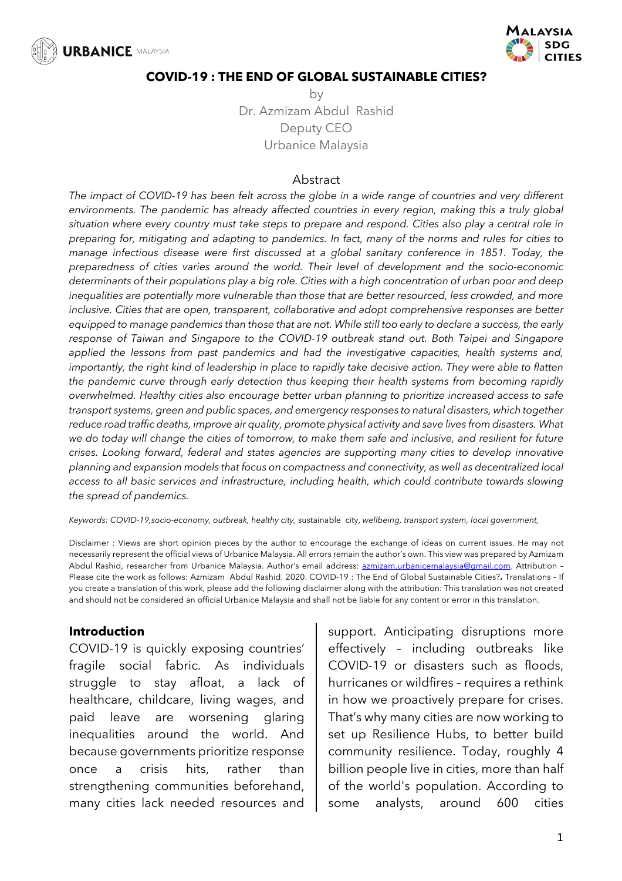



#### **COVID-19 : THE END OF GLOBAL SUSTAINABLE CITIES?**

by Dr. Azmizam Abdul Rashid Deputy CEO Urbanice Malaysia

#### Abstract

*The impact of COVID-19 has been felt across the globe in a wide range of countries and very different environments. The pandemic has already affected countries in every region, making this a truly global situation where every country must take steps to prepare and respond. Cities also play a central role in preparing for, mitigating and adapting to pandemics. In fact, many of the norms and rules for cities to manage infectious disease were first discussed at a global sanitary conference in 1851. Today, the preparedness of cities varies around the world. Their level of development and the socio-economic determinants of their populations play a big role. Cities with a high concentration of urban poor and deep inequalities are potentially more vulnerable than those that are better resourced, less crowded, and more inclusive. Cities that are open, transparent, collaborative and adopt comprehensive responses are better equipped to manage pandemics than those that are not. While still too early to declare a success, the early response of Taiwan and Singapore to the COVID-19 outbreak stand out. Both Taipei and Singapore applied the lessons from past pandemics and had the investigative capacities, health systems and, importantly, the right kind of leadership in place to rapidly take decisive action. They were able to flatten the pandemic curve through early detection thus keeping their health systems from becoming rapidly overwhelmed. Healthy cities also encourage better urban planning to prioritize increased access to safe transport systems, green and public spaces, and emergency responses to natural disasters, which together reduce road traffic deaths, improve air quality, promote physical activity and save lives from disasters. What we do today will change the cities of tomorrow, to make them safe and inclusive, and resilient for future crises. Looking forward, federal and states agencies are supporting many cities to develop innovative planning and expansion models that focus on compactness and connectivity, as well as decentralized local access to all basic services and infrastructure, including health, which could contribute towards slowing the spread of pandemics.*

*Keywords: COVID-19,socio-economy, outbreak, healthy city,* sustainable city, *wellbeing, transport system, local government,*

Disclaimer : Views are short opinion pieces by the author to encourage the exchange of ideas on current issues. He may not necessarily represent the official views of Urbanice Malaysia. All errors remain the author's own. This view was prepared by Azmizam Abdul Rashid, researcher from Urbanice Malaysia. Author's email address: azmizam.urbanicemalaysia@gmail.com. Attribution -Please cite the work as follows: Azmizam Abdul Rashid. 2020. COVID-19 : The End of Global Sustainable Cities?**.** Translations – If you create a translation of this work, please add the following disclaimer along with the attribution: This translation was not created and should not be considered an official Urbanice Malaysia and shall not be liable for any content or error in this translation.

## **Introduction**

COVID-19 is quickly exposing countries' fragile social fabric. As individuals struggle to stay afloat, a lack of healthcare, childcare, living wages, and paid leave are worsening glaring inequalities around the world. And because governments prioritize response once a crisis hits, rather than strengthening communities beforehand, many cities lack needed resources and support. Anticipating disruptions more effectively – including outbreaks like COVID-19 or disasters such as floods, hurricanes or wildfires – requires a rethink in how we proactively prepare for crises. That's why many cities are now working to set up Resilience Hubs, to better build community resilience. Today, roughly 4 billion people live in cities, more than half of the world's population. According to some analysts, around 600 cities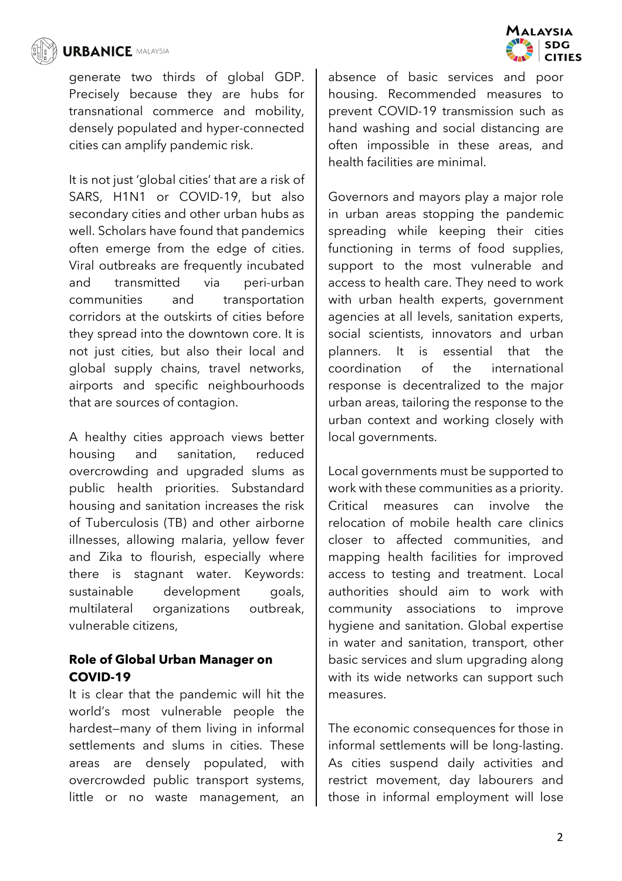

generate two thirds of global GDP. Precisely because they are hubs for transnational commerce and mobility, densely populated and hyper-connected cities can amplify pandemic risk.

It is not just 'global cities' that are a risk of SARS, H1N1 or COVID-19, but also secondary cities and other urban hubs as well. Scholars have found that pandemics often emerge from the edge of cities. Viral outbreaks are frequently incubated and transmitted via peri-urban communities and transportation corridors at the outskirts of cities before they spread into the downtown core. It is not just cities, but also their local and global supply chains, travel networks, airports and specific neighbourhoods that are sources of contagion.

A healthy cities approach views better housing and sanitation, reduced overcrowding and upgraded slums as public health priorities. Substandard housing and sanitation increases the risk of Tuberculosis (TB) and other airborne illnesses, allowing malaria, yellow fever and Zika to flourish, especially where there is stagnant water. Keywords: sustainable development goals, multilateral organizations outbreak, vulnerable citizens,

## **Role of Global Urban Manager on COVID-19**

It is clear that the pandemic will hit the world's most vulnerable people the hardest—many of them living in informal settlements and slums in cities. These areas are densely populated, with overcrowded public transport systems, little or no waste management, an



absence of basic services and poor housing. Recommended measures to prevent COVID-19 transmission such as hand washing and social distancing are often impossible in these areas, and health facilities are minimal.

Governors and mayors play a major role in urban areas stopping the pandemic spreading while keeping their cities functioning in terms of food supplies, support to the most vulnerable and access to health care. They need to work with urban health experts, government agencies at all levels, sanitation experts, social scientists, innovators and urban planners. It is essential that the coordination of the international response is decentralized to the major urban areas, tailoring the response to the urban context and working closely with local governments.

Local governments must be supported to work with these communities as a priority. Critical measures can involve the relocation of mobile health care clinics closer to affected communities, and mapping health facilities for improved access to testing and treatment. Local authorities should aim to work with community associations to improve hygiene and sanitation. Global expertise in water and sanitation, transport, other basic services and slum upgrading along with its wide networks can support such measures.

The economic consequences for those in informal settlements will be long-lasting. As cities suspend daily activities and restrict movement, day labourers and those in informal employment will lose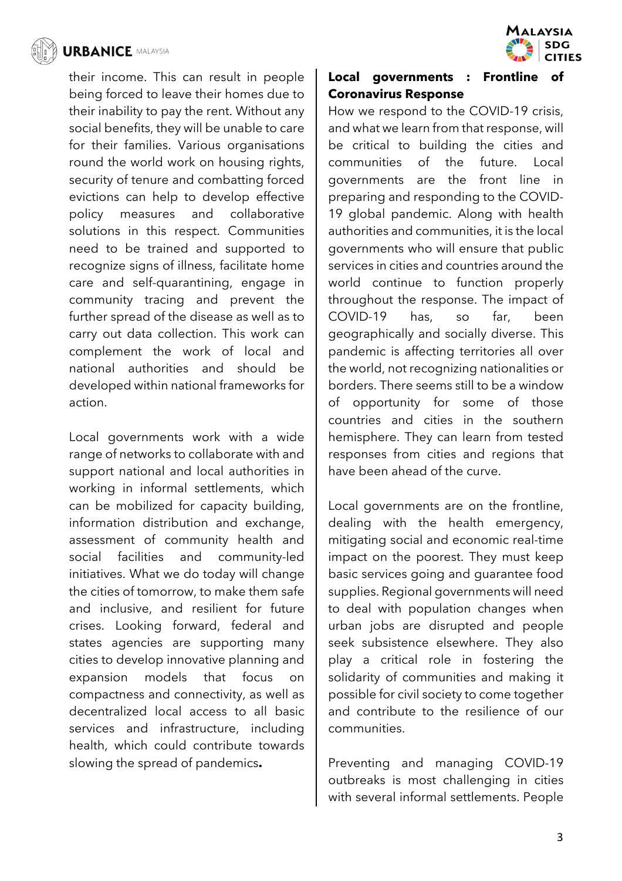

their income. This can result in people being forced to leave their homes due to their inability to pay the rent. Without any social benefits, they will be unable to care for their families. Various organisations round the world work on housing rights, security of tenure and combatting forced evictions can help to develop effective policy measures and collaborative solutions in this respect. Communities need to be trained and supported to recognize signs of illness, facilitate home care and self-quarantining, engage in community tracing and prevent the further spread of the disease as well as to carry out data collection. This work can complement the work of local and national authorities and should be developed within national frameworks for action.

Local governments work with a wide range of networks to collaborate with and support national and local authorities in working in informal settlements, which can be mobilized for capacity building, information distribution and exchange, assessment of community health and social facilities and community-led initiatives. What we do today will change the cities of tomorrow, to make them safe and inclusive, and resilient for future crises. Looking forward, federal and states agencies are supporting many cities to develop innovative planning and expansion models that focus on compactness and connectivity, as well as decentralized local access to all basic services and infrastructure, including health, which could contribute towards slowing the spread of pandemics**.**



# **Local governments : Frontline of Coronavirus Response**

How we respond to the COVID-19 crisis, and what we learn from that response, will be critical to building the cities and communities of the future. Local governments are the front line in preparing and responding to the COVID-19 global pandemic. Along with health authorities and communities, it is the local governments who will ensure that public services in cities and countries around the world continue to function properly throughout the response. The impact of COVID-19 has, so far, been geographically and socially diverse. This pandemic is affecting territories all over the world, not recognizing nationalities or borders. There seems still to be a window of opportunity for some of those countries and cities in the southern hemisphere. They can learn from tested responses from cities and regions that have been ahead of the curve.

Local governments are on the frontline, dealing with the health emergency, mitigating social and economic real-time impact on the poorest. They must keep basic services going and guarantee food supplies. Regional governments will need to deal with population changes when urban jobs are disrupted and people seek subsistence elsewhere. They also play a critical role in fostering the solidarity of communities and making it possible for civil society to come together and contribute to the resilience of our communities.

Preventing and managing COVID-19 outbreaks is most challenging in cities with several informal settlements. People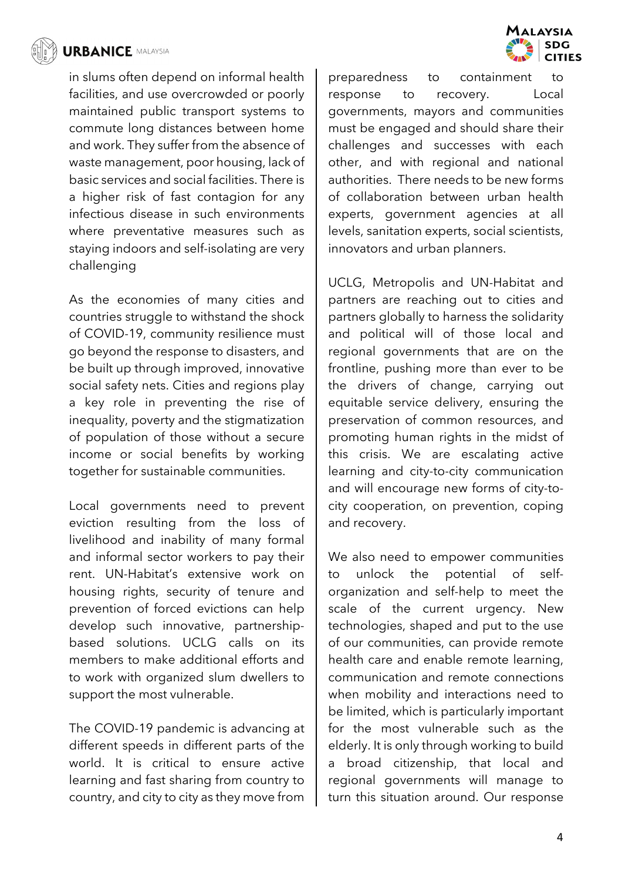

in slums often depend on informal health facilities, and use overcrowded or poorly maintained public transport systems to commute long distances between home and work. They suffer from the absence of waste management, poor housing, lack of basic services and social facilities. There is a higher risk of fast contagion for any infectious disease in such environments where preventative measures such as staying indoors and self-isolating are very challenging

As the economies of many cities and countries struggle to withstand the shock of COVID-19, community resilience must go beyond the response to disasters, and be built up through improved, innovative social safety nets. Cities and regions play a key role in preventing the rise of inequality, poverty and the stigmatization of population of those without a secure income or social benefits by working together for sustainable communities.

Local governments need to prevent eviction resulting from the loss of livelihood and inability of many formal and informal sector workers to pay their rent. UN-Habitat's extensive work on housing rights, security of tenure and prevention of forced evictions can help develop such innovative, partnershipbased solutions. UCLG calls on its members to make additional efforts and to work with organized slum dwellers to support the most vulnerable.

The COVID-19 pandemic is advancing at different speeds in different parts of the world. It is critical to ensure active learning and fast sharing from country to country, and city to city as they move from

preparedness to containment to response to recovery. Local governments, mayors and communities must be engaged and should share their challenges and successes with each other, and with regional and national authorities. There needs to be new forms of collaboration between urban health experts, government agencies at all levels, sanitation experts, social scientists, innovators and urban planners.

UCLG, Metropolis and UN-Habitat and partners are reaching out to cities and partners globally to harness the solidarity and political will of those local and regional governments that are on the frontline, pushing more than ever to be the drivers of change, carrying out equitable service delivery, ensuring the preservation of common resources, and promoting human rights in the midst of this crisis. We are escalating active learning and city-to-city communication and will encourage new forms of city-tocity cooperation, on prevention, coping and recovery.

We also need to empower communities to unlock the potential of selforganization and self-help to meet the scale of the current urgency. New technologies, shaped and put to the use of our communities, can provide remote health care and enable remote learning, communication and remote connections when mobility and interactions need to be limited, which is particularly important for the most vulnerable such as the elderly. It is only through working to build broad citizenship, that local and regional governments will manage to turn this situation around. Our response

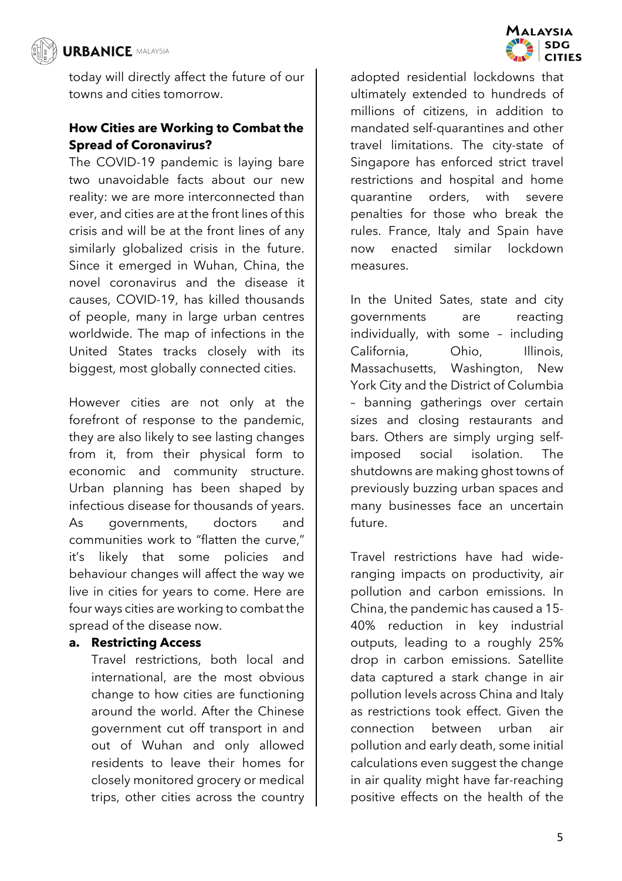

today will directly affect the future of our towns and cities tomorrow.

# **How Cities are Working to Combat the Spread of Coronavirus?**

The COVID-19 pandemic is laying bare two unavoidable facts about our new reality: we are more interconnected than ever, and cities are at the front lines of this crisis and will be at the front lines of any similarly globalized crisis in the future. Since it emerged in Wuhan, China, the novel coronavirus and the disease it causes, COVID-19, has killed thousands of people, many in large urban centres worldwide. The map of infections in the United States tracks closely with its biggest, most globally connected cities.

However cities are not only at the forefront of response to the pandemic, they are also likely to see lasting changes from it, from their physical form to economic and community structure. Urban planning has been shaped by infectious disease for thousands of years. As governments, doctors and communities work to "flatten the curve," it's likely that some policies and behaviour changes will affect the way we live in cities for years to come. Here are four ways cities are working to combat the spread of the disease now.

## **a. Restricting Access**

Travel restrictions, both local and international, are the most obvious change to how cities are functioning around the world. After the Chinese government cut off transport in and out of Wuhan and only allowed residents to leave their homes for closely monitored grocery or medical trips, other cities across the country adopted residential lockdowns that ultimately extended to hundreds of millions of citizens, in addition to mandated self-quarantines and other travel limitations. The city-state of Singapore has enforced strict travel restrictions and hospital and home quarantine orders, with severe penalties for those who break the rules. France, Italy and Spain have now enacted similar lockdown measures.

In the United Sates, state and city governments are reacting individually, with some – including California, Ohio, Illinois, Massachusetts, Washington, New York City and the District of Columbia – banning gatherings over certain sizes and closing restaurants and bars. Others are simply urging selfimposed social isolation. The shutdowns are making ghost towns of previously buzzing urban spaces and many businesses face an uncertain future.

Travel restrictions have had wideranging impacts on productivity, air pollution and carbon emissions. In China, the pandemic has caused a 15- 40% reduction in key industrial outputs, leading to a roughly 25% drop in carbon emissions. Satellite data captured a stark change in air pollution levels across China and Italy as restrictions took effect. Given the connection between urban air pollution and early death, some initial calculations even suggest the change in air quality might have far-reaching positive effects on the health of the

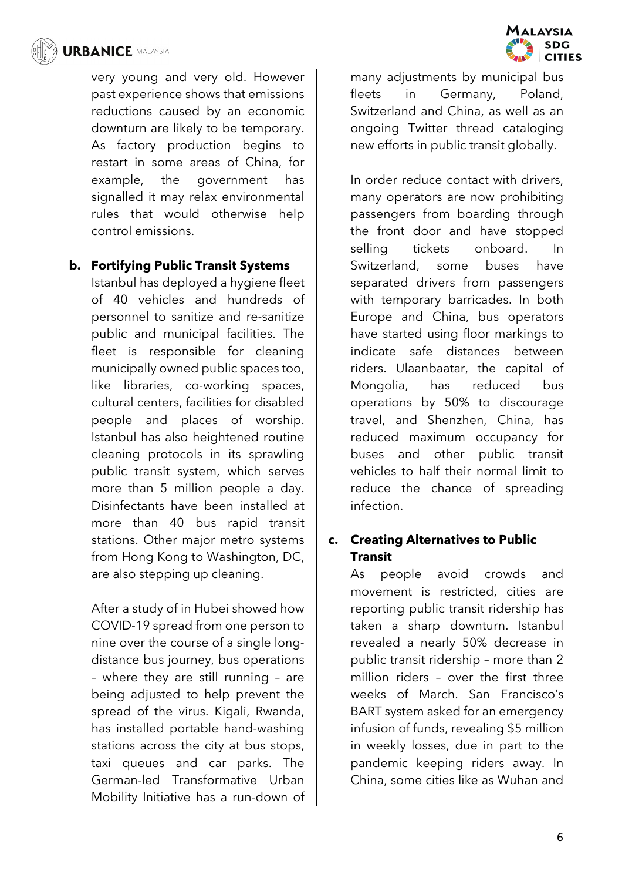

very young and very old. However past experience shows that emissions reductions caused by an economic downturn are likely to be temporary. As factory production begins to restart in some areas of China, for example, the government has signalled it may relax environmental rules that would otherwise help control emissions.

## **b. Fortifying Public Transit Systems**

Istanbul has deployed a hygiene fleet of 40 vehicles and hundreds of personnel to sanitize and re-sanitize public and municipal facilities. The fleet is responsible for cleaning municipally owned public spaces too, like libraries, co-working spaces, cultural centers, facilities for disabled people and places of worship. Istanbul has also heightened routine cleaning protocols in its sprawling public transit system, which serves more than 5 million people a day. Disinfectants have been installed at more than 40 bus rapid transit stations. Other major metro systems from Hong Kong to Washington, DC, are also stepping up cleaning.

After a study of in Hubei showed how COVID-19 spread from one person to nine over the course of a single longdistance bus journey, bus operations – where they are still running – are being adjusted to help prevent the spread of the virus. Kigali, Rwanda, has installed portable hand-washing stations across the city at bus stops, taxi queues and car parks. The German-led Transformative Urban Mobility Initiative has a run-down of



many adjustments by municipal bus fleets in Germany, Poland, Switzerland and China, as well as an ongoing Twitter thread cataloging new efforts in public transit globally.

In order reduce contact with drivers, many operators are now prohibiting passengers from boarding through the front door and have stopped selling tickets onboard. In Switzerland, some buses have separated drivers from passengers with temporary barricades. In both Europe and China, bus operators have started using floor markings to indicate safe distances between riders. Ulaanbaatar, the capital of Mongolia, has reduced bus operations by 50% to discourage travel, and Shenzhen, China, has reduced maximum occupancy for buses and other public transit vehicles to half their normal limit to reduce the chance of spreading infection.

## **c. Creating Alternatives to Public Transit**

As people avoid crowds and movement is restricted, cities are reporting public transit ridership has taken a sharp downturn. Istanbul revealed a nearly 50% decrease in public transit ridership – more than 2 million riders – over the first three weeks of March. San Francisco's BART system asked for an emergency infusion of funds, revealing \$5 million in weekly losses, due in part to the pandemic keeping riders away. In China, some cities like as Wuhan and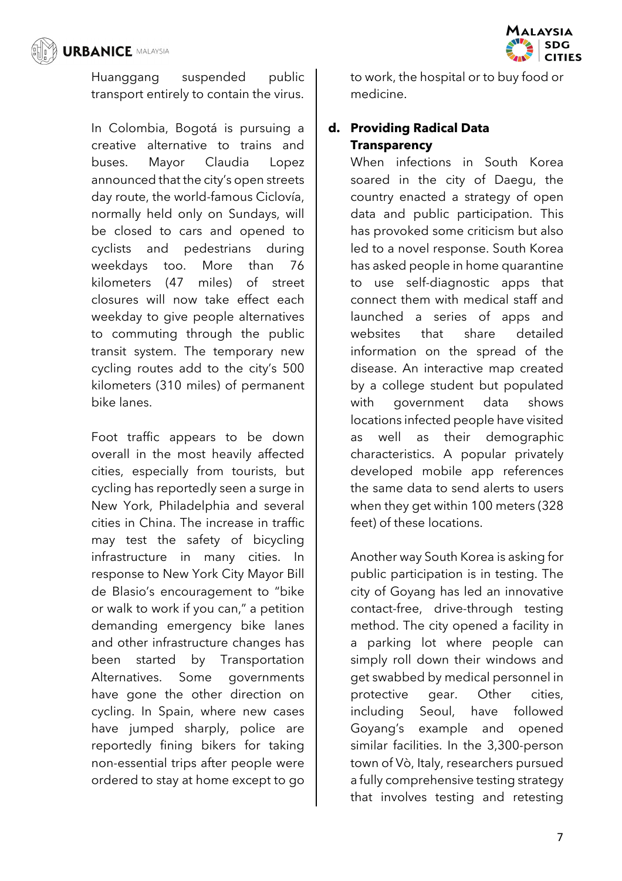

Huanggang suspended public transport entirely to contain the virus.

In Colombia, Bogotá is pursuing a creative alternative to trains and buses. Mayor Claudia Lopez announced that the city's open streets day route, the world-famous Ciclovía, normally held only on Sundays, will be closed to cars and opened to cyclists and pedestrians during weekdays too. More than 76 kilometers (47 miles) of street closures will now take effect each weekday to give people alternatives to commuting through the public transit system. The temporary new cycling routes add to the city's 500 kilometers (310 miles) of permanent bike lanes.

Foot traffic appears to be down overall in the most heavily affected cities, especially from tourists, but cycling has reportedly seen a surge in New York, Philadelphia and several cities in China. The increase in traffic may test the safety of bicycling infrastructure in many cities. In response to New York City Mayor Bill de Blasio's encouragement to "bike or walk to work if you can," a petition demanding emergency bike lanes and other infrastructure changes has been started by Transportation Alternatives. Some governments have gone the other direction on cycling. In Spain, where new cases have jumped sharply, police are reportedly fining bikers for taking non-essential trips after people were ordered to stay at home except to go

to work, the hospital or to buy food or medicine.

# **d. Providing Radical Data Transparency**

When infections in South Korea soared in the city of Daegu, the country enacted a strategy of open data and public participation. This has provoked some criticism but also led to a novel response. South Korea has asked people in home quarantine to use self-diagnostic apps that connect them with medical staff and launched a series of apps and websites that share detailed information on the spread of the disease. An interactive map created by a college student but populated with government data shows locations infected people have visited as well as their demographic characteristics. A popular privately developed mobile app references the same data to send alerts to users when they get within 100 meters (328 feet) of these locations.

Another way South Korea is asking for public participation is in testing. The city of Goyang has led an innovative contact-free, drive-through testing method. The city opened a facility in a parking lot where people can simply roll down their windows and get swabbed by medical personnel in protective gear. Other cities, including Seoul, have followed Goyang's example and opened similar facilities. In the 3,300-person town of Vò, Italy, researchers pursued a fully comprehensive testing strategy that involves testing and retesting

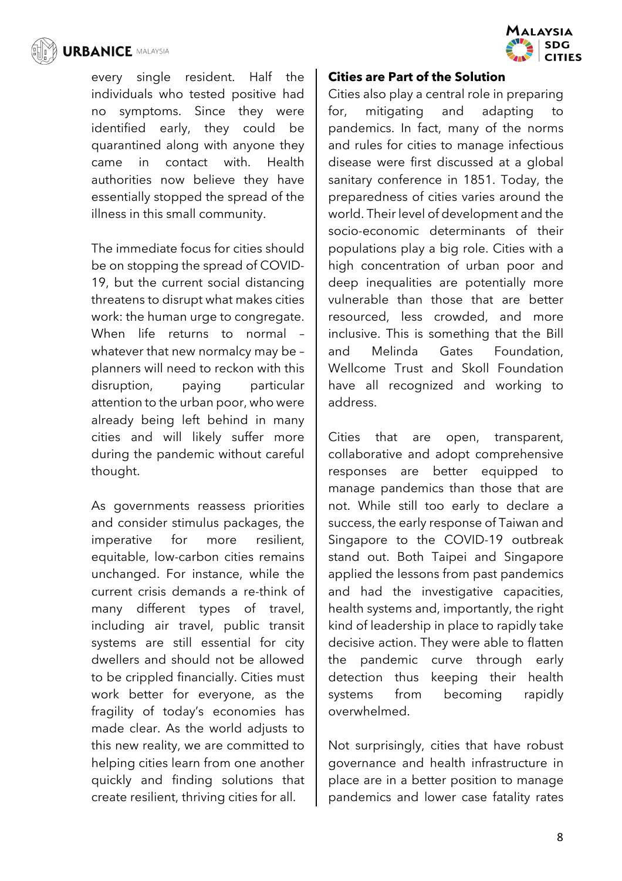

every single resident. Half the individuals who tested positive had no symptoms. Since they were identified early, they could be quarantined along with anyone they came in contact with. Health authorities now believe they have essentially stopped the spread of the illness in this small community.

The immediate focus for cities should be on stopping the spread of COVID-19, but the current social distancing threatens to disrupt what makes cities work: the human urge to congregate. When life returns to normal – whatever that new normalcy may be – planners will need to reckon with this disruption, paying particular attention to the urban poor, who were already being left behind in many cities and will likely suffer more during the pandemic without careful thought.

As governments reassess priorities and consider stimulus packages, the imperative for more resilient, equitable, low-carbon cities remains unchanged. For instance, while the current crisis demands a re-think of many different types of travel, including air travel, public transit systems are still essential for city dwellers and should not be allowed to be crippled financially. Cities must work better for everyone, as the fragility of today's economies has made clear. As the world adjusts to this new reality, we are committed to helping cities learn from one another quickly and finding solutions that create resilient, thriving cities for all.



## **Cities are Part of the Solution**

Cities also play a central role in preparing for, mitigating and adapting to pandemics. In fact, many of the norms and rules for cities to manage infectious disease were first discussed at a global sanitary conference in 1851. Today, the preparedness of cities varies around the world. Their level of development and the socio-economic determinants of their populations play a big role. Cities with a high concentration of urban poor and deep inequalities are potentially more vulnerable than those that are better resourced, less crowded, and more inclusive. This is something that the Bill and Melinda Gates Foundation, Wellcome Trust and Skoll Foundation have all recognized and working to address.

Cities that are open, transparent, collaborative and adopt comprehensive responses are better equipped to manage pandemics than those that are not. While still too early to declare a success, the early response of Taiwan and Singapore to the COVID-19 outbreak stand out. Both Taipei and Singapore applied the lessons from past pandemics and had the investigative capacities, health systems and, importantly, the right kind of leadership in place to rapidly take decisive action. They were able to flatten the pandemic curve through early detection thus keeping their health systems from becoming rapidly overwhelmed.

Not surprisingly, cities that have robust governance and health infrastructure in place are in a better position to manage pandemics and lower case fatality rates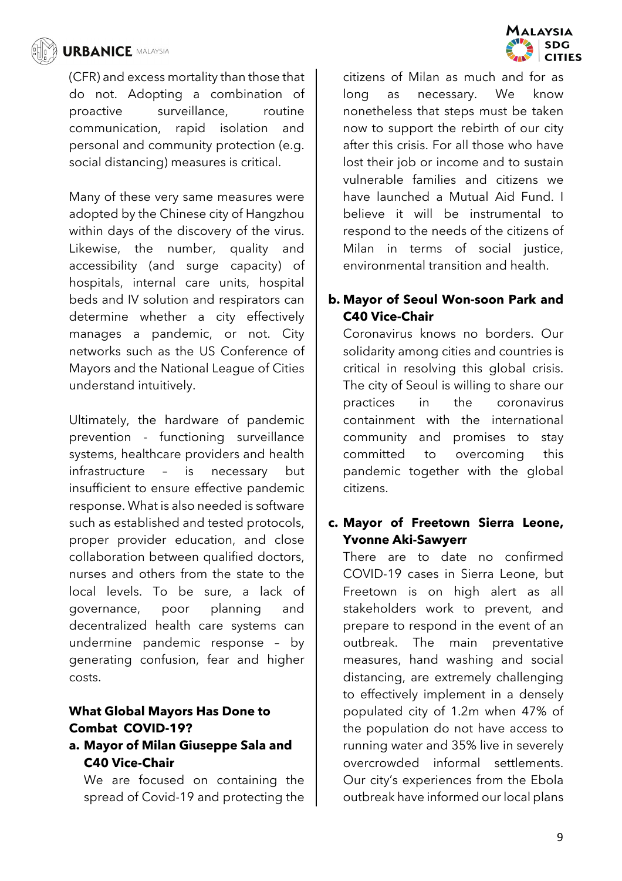

(CFR) and excess mortality than those that do not. Adopting a combination of proactive surveillance, routine communication, rapid isolation and personal and community protection (e.g. social distancing) measures is critical.

Many of these very same measures were adopted by the Chinese city of Hangzhou within days of the discovery of the virus. Likewise, the number, quality and accessibility (and surge capacity) of hospitals, internal care units, hospital beds and IV solution and respirators can determine whether a city effectively manages a pandemic, or not. City networks such as the US Conference of Mayors and the National League of Cities understand intuitively.

Ultimately, the hardware of pandemic prevention - functioning surveillance systems, healthcare providers and health infrastructure – is necessary but insufficient to ensure effective pandemic response. What is also needed is software such as established and tested protocols, proper provider education, and close collaboration between qualified doctors, nurses and others from the state to the local levels. To be sure, a lack of governance, poor planning and decentralized health care systems can undermine pandemic response – by generating confusion, fear and higher costs.

## **What Global Mayors Has Done to Combat COVID-19?**

## **a. Mayor of Milan Giuseppe Sala and C40 Vice-Chair**

We are focused on containing the spread of Covid-19 and protecting the



# **b. Mayor of Seoul Won-soon Park and C40 Vice-Chair**

Coronavirus knows no borders. Our solidarity among cities and countries is critical in resolving this global crisis. The city of Seoul is willing to share our practices in the coronavirus containment with the international community and promises to stay committed to overcoming this pandemic together with the global citizens.

## **c. Mayor of Freetown Sierra Leone, Yvonne Aki-Sawyerr**

There are to date no confirmed COVID-19 cases in Sierra Leone, but Freetown is on high alert as all stakeholders work to prevent, and prepare to respond in the event of an outbreak. The main preventative measures, hand washing and social distancing, are extremely challenging to effectively implement in a densely populated city of 1.2m when 47% of the population do not have access to running water and 35% live in severely overcrowded informal settlements. Our city's experiences from the Ebola outbreak have informed our local plans

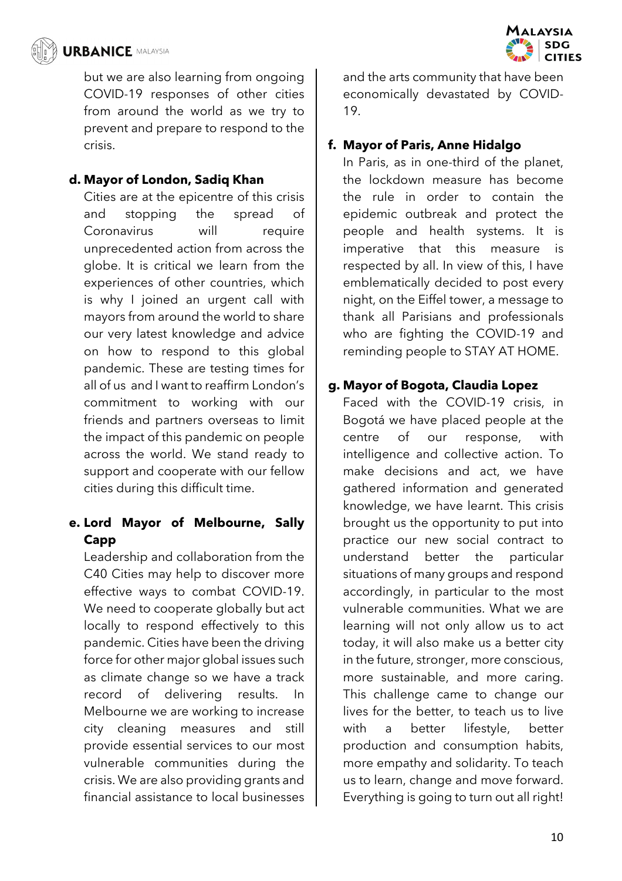

but we are also learning from ongoing COVID-19 responses of other cities from around the world as we try to prevent and prepare to respond to the crisis.

## **d. Mayor of London, Sadiq Khan**

Cities are at the epicentre of this crisis and stopping the spread of Coronavirus will require unprecedented action from across the globe. It is critical we learn from the experiences of other countries, which is why I joined an urgent call with mayors from around the world to share our very latest knowledge and advice on how to respond to this global pandemic. These are testing times for all of us and I want to reaffirm London's commitment to working with our friends and partners overseas to limit the impact of this pandemic on people across the world. We stand ready to support and cooperate with our fellow cities during this difficult time.

# **e. Lord Mayor of Melbourne, Sally Capp**

Leadership and collaboration from the C40 Cities may help to discover more effective ways to combat COVID-19. We need to cooperate globally but act locally to respond effectively to this pandemic. Cities have been the driving force for other major global issues such as climate change so we have a track record of delivering results. In Melbourne we are working to increase city cleaning measures and still provide essential services to our most vulnerable communities during the crisis. We are also providing grants and financial assistance to local businesses and the arts community that have been economically devastated by COVID-19.

## **f. Mayor of Paris, Anne Hidalgo**

In Paris, as in one-third of the planet, the lockdown measure has become the rule in order to contain the epidemic outbreak and protect the people and health systems. It is imperative that this measure is respected by all. In view of this, I have emblematically decided to post every night, on the Eiffel tower, a message to thank all Parisians and professionals who are fighting the COVID-19 and reminding people to STAY AT HOME.

## **g. Mayor of Bogota, Claudia Lopez**

Faced with the COVID-19 crisis, in Bogotá we have placed people at the centre of our response, with intelligence and collective action. To make decisions and act, we have gathered information and generated knowledge, we have learnt. This crisis brought us the opportunity to put into practice our new social contract to understand better the particular situations of many groups and respond accordingly, in particular to the most vulnerable communities. What we are learning will not only allow us to act today, it will also make us a better city in the future, stronger, more conscious, more sustainable, and more caring. This challenge came to change our lives for the better, to teach us to live with a better lifestyle, better production and consumption habits, more empathy and solidarity. To teach us to learn, change and move forward. Everything is going to turn out all right!

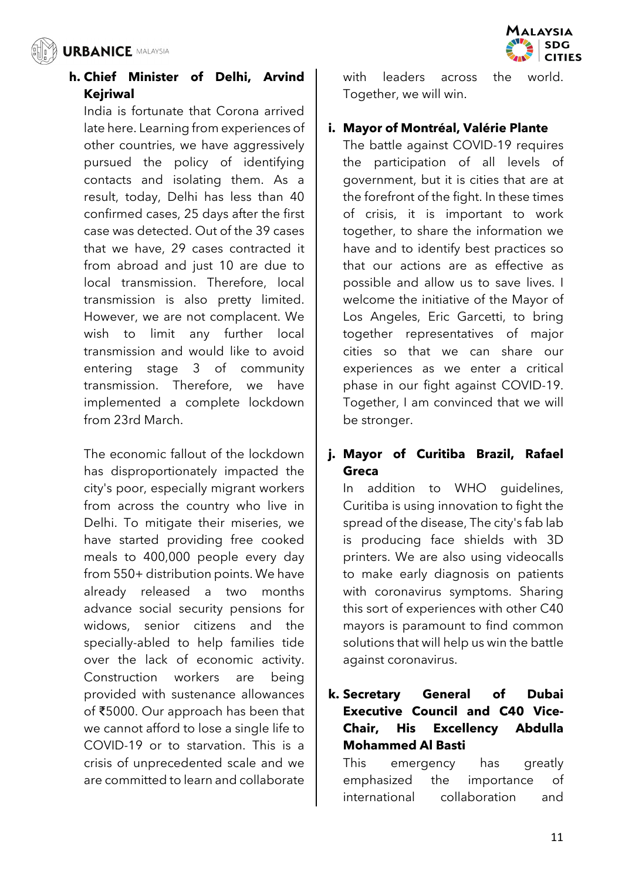

# **h. Chief Minister of Delhi, Arvind Kejriwal**

India is fortunate that Corona arrived late here. Learning from experiences of other countries, we have aggressively pursued the policy of identifying contacts and isolating them. As a result, today, Delhi has less than 40 confirmed cases, 25 days after the first case was detected. Out of the 39 cases that we have, 29 cases contracted it from abroad and just 10 are due to local transmission. Therefore, local transmission is also pretty limited. However, we are not complacent. We wish to limit any further local transmission and would like to avoid entering stage 3 of community transmission. Therefore, we have implemented a complete lockdown from 23rd March.

The economic fallout of the lockdown has disproportionately impacted the city's poor, especially migrant workers from across the country who live in Delhi. To mitigate their miseries, we have started providing free cooked meals to 400,000 people every day from 550+ distribution points. We have already released a two months advance social security pensions for widows, senior citizens and the specially-abled to help families tide over the lack of economic activity. Construction workers are being provided with sustenance allowances of ₹5000. Our approach has been that we cannot afford to lose a single life to COVID-19 or to starvation. This is a crisis of unprecedented scale and we are committed to learn and collaborate

with leaders across the world Together, we will win.

# **i. Mayor of Montréal, Valérie Plante**

The battle against COVID-19 requires the participation of all levels of government, but it is cities that are at the forefront of the fight. In these times of crisis, it is important to work together, to share the information we have and to identify best practices so that our actions are as effective as possible and allow us to save lives. I welcome the initiative of the Mayor of Los Angeles, Eric Garcetti, to bring together representatives of major cities so that we can share our experiences as we enter a critical phase in our fight against COVID-19. Together, I am convinced that we will be stronger.

# **j. Mayor of Curitiba Brazil, Rafael Greca**

In addition to WHO guidelines, Curitiba is using innovation to fight the spread of the disease, The city's fab lab is producing face shields with 3D printers. We are also using videocalls to make early diagnosis on patients with coronavirus symptoms. Sharing this sort of experiences with other C40 mayors is paramount to find common solutions that will help us win the battle against coronavirus.

# **k. Secretary General of Dubai Executive Council and C40 Vice-Chair, His Excellency Abdulla Mohammed Al Basti**

This emergency has greatly emphasized the importance of international collaboration and

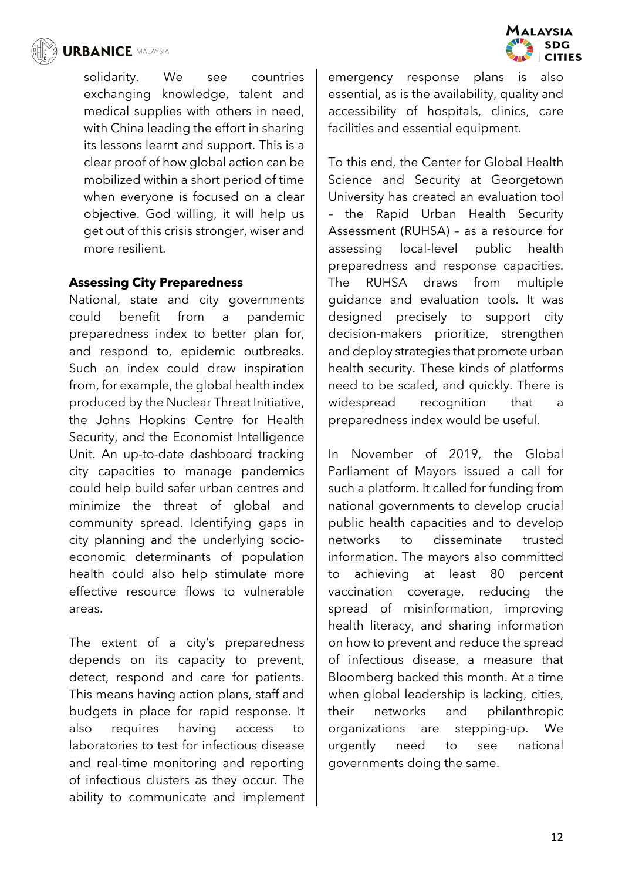

solidarity. We see countries exchanging knowledge, talent and medical supplies with others in need, with China leading the effort in sharing its lessons learnt and support. This is a clear proof of how global action can be mobilized within a short period of time when everyone is focused on a clear objective. God willing, it will help us get out of this crisis stronger, wiser and more resilient.

#### **Assessing City Preparedness**

National, state and city governments could benefit from a pandemic preparedness index to better plan for, and respond to, epidemic outbreaks. Such an index could draw inspiration from, for example, the global health index produced by the Nuclear Threat Initiative, the Johns Hopkins Centre for Health Security, and the Economist Intelligence Unit. An up-to-date dashboard tracking city capacities to manage pandemics could help build safer urban centres and minimize the threat of global and community spread. Identifying gaps in city planning and the underlying socioeconomic determinants of population health could also help stimulate more effective resource flows to vulnerable areas.

The extent of a city's preparedness depends on its capacity to prevent, detect, respond and care for patients. This means having action plans, staff and budgets in place for rapid response. It also requires having access to laboratories to test for infectious disease and real-time monitoring and reporting of infectious clusters as they occur. The ability to communicate and implement



**MALAYSIA** 

**SDG** 

**TITIES** 

To this end, the Center for Global Health Science and Security at Georgetown University has created an evaluation tool – the Rapid Urban Health Security Assessment (RUHSA) – as a resource for assessing local-level public health preparedness and response capacities. The RUHSA draws from multiple guidance and evaluation tools. It was designed precisely to support city decision-makers prioritize, strengthen and deploy strategies that promote urban health security. These kinds of platforms need to be scaled, and quickly. There is widespread recognition that a preparedness index would be useful.

In November of 2019, the Global Parliament of Mayors issued a call for such a platform. It called for funding from national governments to develop crucial public health capacities and to develop networks to disseminate trusted information. The mayors also committed to achieving at least 80 percent vaccination coverage, reducing the spread of misinformation, improving health literacy, and sharing information on how to prevent and reduce the spread of infectious disease, a measure that Bloomberg backed this month. At a time when global leadership is lacking, cities, their networks and philanthropic organizations are stepping-up. We urgently need to see national governments doing the same.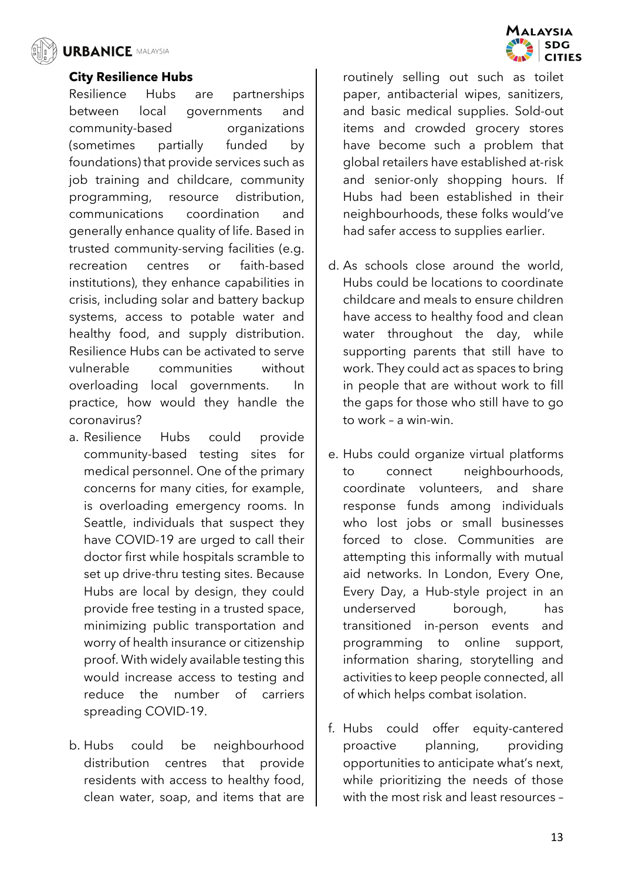

#### **City Resilience Hubs**

Resilience Hubs are partnerships between local governments and community-based organizations (sometimes partially funded by foundations) that provide services such as job training and childcare, community programming, resource distribution, communications coordination and generally enhance quality of life. Based in trusted community-serving facilities (e.g. recreation centres or faith-based institutions), they enhance capabilities in crisis, including solar and battery backup systems, access to potable water and healthy food, and supply distribution. Resilience Hubs can be activated to serve vulnerable communities without overloading local governments. In practice, how would they handle the coronavirus?

- a. Resilience Hubs could provide community-based testing sites for medical personnel. One of the primary concerns for many cities, for example, is overloading emergency rooms. In Seattle, individuals that suspect they have COVID-19 are urged to call their doctor first while hospitals scramble to set up drive-thru testing sites. Because Hubs are local by design, they could provide free testing in a trusted space, minimizing public transportation and worry of health insurance or citizenship proof. With widely available testing this would increase access to testing and reduce the number of carriers spreading COVID-19.
- b. Hubs could be neighbourhood distribution centres that provide residents with access to healthy food, clean water, soap, and items that are

routinely selling out such as toilet paper, antibacterial wipes, sanitizers, and basic medical supplies. Sold-out items and crowded grocery stores have become such a problem that global retailers have established at-risk and senior-only shopping hours. If Hubs had been established in their neighbourhoods, these folks would've had safer access to supplies earlier.

- d. As schools close around the world, Hubs could be locations to coordinate childcare and meals to ensure children have access to healthy food and clean water throughout the day, while supporting parents that still have to work. They could act as spaces to bring in people that are without work to fill the gaps for those who still have to go to work – a win-win.
- e. Hubs could organize virtual platforms to connect neighbourhoods, coordinate volunteers, and share response funds among individuals who lost jobs or small businesses forced to close. Communities are attempting this informally with mutual aid networks. In London, Every One, Every Day, a Hub-style project in an underserved borough, has transitioned in-person events and programming to online support, information sharing, storytelling and activities to keep people connected, all of which helps combat isolation.
- f. Hubs could offer equity-cantered proactive planning, providing opportunities to anticipate what's next, while prioritizing the needs of those with the most risk and least resources –

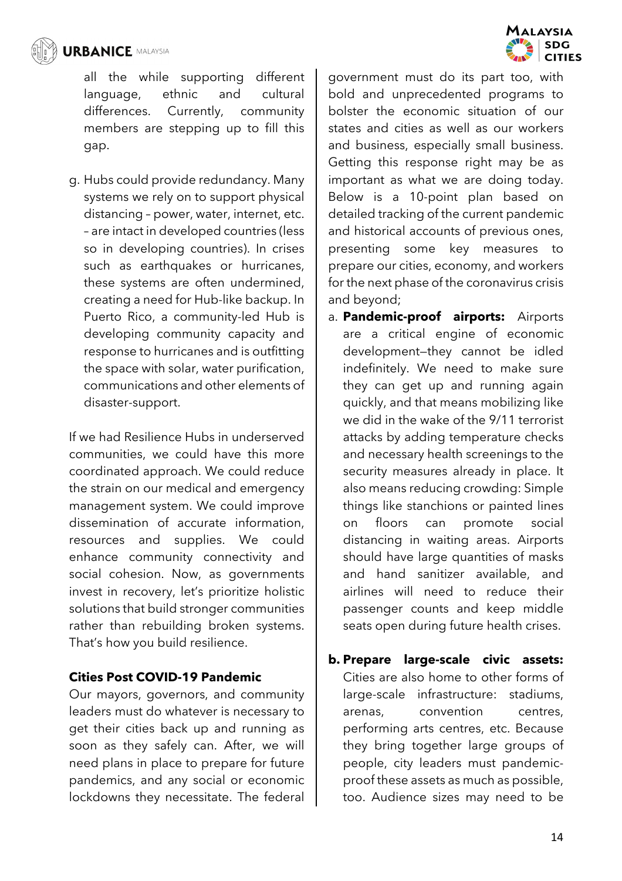

all the while supporting different language, ethnic and cultural differences. Currently, community members are stepping up to fill this gap.

g. Hubs could provide redundancy. Many systems we rely on to support physical distancing – power, water, internet, etc. – are intact in developed countries (less so in developing countries). In crises such as earthquakes or hurricanes, these systems are often undermined, creating a need for Hub-like backup. In Puerto Rico, a community-led Hub is developing community capacity and response to hurricanes and is outfitting the space with solar, water purification, communications and other elements of disaster-support.

If we had Resilience Hubs in underserved communities, we could have this more coordinated approach. We could reduce the strain on our medical and emergency management system. We could improve dissemination of accurate information, resources and supplies. We could enhance community connectivity and social cohesion. Now, as governments invest in recovery, let's prioritize holistic solutions that build stronger communities rather than rebuilding broken systems. That's how you build resilience.

## **Cities Post COVID-19 Pandemic**

Our mayors, governors, and community leaders must do whatever is necessary to get their cities back up and running as soon as they safely can. After, we will need plans in place to prepare for future pandemics, and any social or economic lockdowns they necessitate. The federal

government must do its part too, with bold and unprecedented programs to bolster the economic situation of our states and cities as well as our workers and business, especially small business. Getting this response right may be as important as what we are doing today. Below is a 10-point plan based on detailed tracking of the current pandemic and historical accounts of previous ones, presenting some key measures to prepare our cities, economy, and workers for the next phase of the coronavirus crisis and beyond;

**MAI AVSIA** 

**SDG** 

**CITIES** 

- a. **Pandemic-proof airports:** Airports are a critical engine of economic development—they cannot be idled indefinitely. We need to make sure they can get up and running again quickly, and that means mobilizing like we did in the wake of the 9/11 terrorist attacks by adding temperature checks and necessary health screenings to the security measures already in place. It also means reducing crowding: Simple things like stanchions or painted lines on floors can promote social distancing in waiting areas. Airports should have large quantities of masks and hand sanitizer available, and airlines will need to reduce their passenger counts and keep middle seats open during future health crises.
- **b. Prepare large-scale civic assets:** Cities are also home to other forms of large-scale infrastructure: stadiums, arenas, convention centres, performing arts centres, etc. Because they bring together large groups of people, city leaders must pandemicproof these assets as much as possible, too. Audience sizes may need to be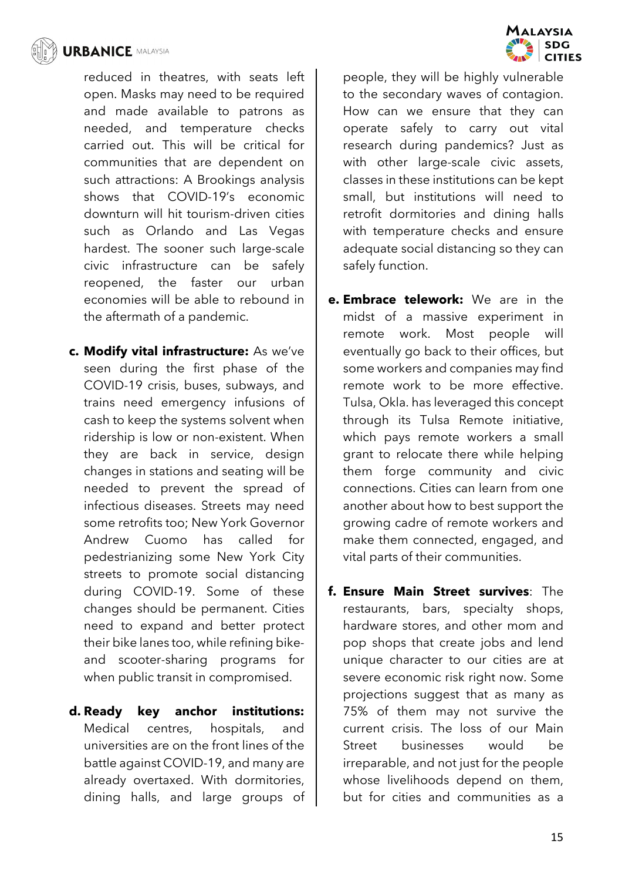

reduced in theatres, with seats left open. Masks may need to be required and made available to patrons as needed, and temperature checks carried out. This will be critical for communities that are dependent on such attractions: A Brookings analysis shows that COVID-19's economic downturn will hit tourism-driven cities such as Orlando and Las Vegas hardest. The sooner such large-scale civic infrastructure can be safely reopened, the faster our urban economies will be able to rebound in the aftermath of a pandemic.

- **c. Modify vital infrastructure:** As we've seen during the first phase of the COVID-19 crisis, buses, subways, and trains need emergency infusions of cash to keep the systems solvent when ridership is low or non-existent. When they are back in service, design changes in stations and seating will be needed to prevent the spread of infectious diseases. Streets may need some retrofits too; New York Governor Andrew Cuomo has called for pedestrianizing some New York City streets to promote social distancing during COVID-19. Some of these changes should be permanent. Cities need to expand and better protect their bike lanes too, while refining bikeand scooter-sharing programs for when public transit in compromised.
- **d. Ready key anchor institutions:** Medical centres, hospitals, and universities are on the front lines of the battle against COVID-19, and many are already overtaxed. With dormitories, dining halls, and large groups of



people, they will be highly vulnerable to the secondary waves of contagion. How can we ensure that they can operate safely to carry out vital research during pandemics? Just as with other large-scale civic assets, classes in these institutions can be kept small, but institutions will need to retrofit dormitories and dining halls with temperature checks and ensure adequate social distancing so they can safely function.

- **e. Embrace telework:** We are in the midst of a massive experiment in remote work. Most people will eventually go back to their offices, but some workers and companies may find remote work to be more effective. Tulsa, Okla. has leveraged this concept through its Tulsa Remote initiative, which pays remote workers a small grant to relocate there while helping them forge community and civic connections. Cities can learn from one another about how to best support the growing cadre of remote workers and make them connected, engaged, and vital parts of their communities.
- **f. Ensure Main Street survives**: The restaurants, bars, specialty shops, hardware stores, and other mom and pop shops that create jobs and lend unique character to our cities are at severe economic risk right now. Some projections suggest that as many as 75% of them may not survive the current crisis. The loss of our Main Street businesses would be irreparable, and not just for the people whose livelihoods depend on them, but for cities and communities as a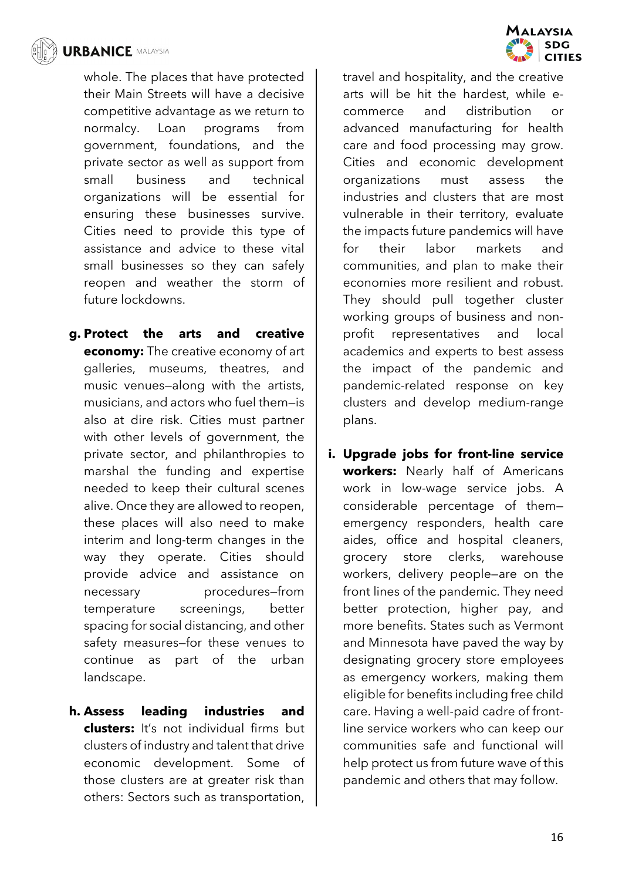

whole. The places that have protected their Main Streets will have a decisive competitive advantage as we return to normalcy. Loan programs from government, foundations, and the private sector as well as support from small business and technical organizations will be essential for ensuring these businesses survive. Cities need to provide this type of assistance and advice to these vital small businesses so they can safely reopen and weather the storm of future lockdowns.

- **g. Protect the arts and creative economy:** The creative economy of art galleries, museums, theatres, and music venues—along with the artists, musicians, and actors who fuel them—is also at dire risk. Cities must partner with other levels of government, the private sector, and philanthropies to marshal the funding and expertise needed to keep their cultural scenes alive. Once they are allowed to reopen, these places will also need to make interim and long-term changes in the way they operate. Cities should provide advice and assistance on necessary procedures—from temperature screenings, better spacing for social distancing, and other safety measures—for these venues to continue as part of the urban landscape.
- **h. Assess leading industries and clusters:** It's not individual firms but clusters of industry and talent that drive economic development. Some of those clusters are at greater risk than others: Sectors such as transportation,



**i. Upgrade jobs for front-line service workers:** Nearly half of Americans work in low-wage service jobs. A considerable percentage of them emergency responders, health care aides, office and hospital cleaners, grocery store clerks, warehouse workers, delivery people—are on the front lines of the pandemic. They need better protection, higher pay, and more benefits. States such as Vermont and Minnesota have paved the way by designating grocery store employees as emergency workers, making them eligible for benefits including free child care. Having a well-paid cadre of frontline service workers who can keep our communities safe and functional will help protect us from future wave of this pandemic and others that may follow.

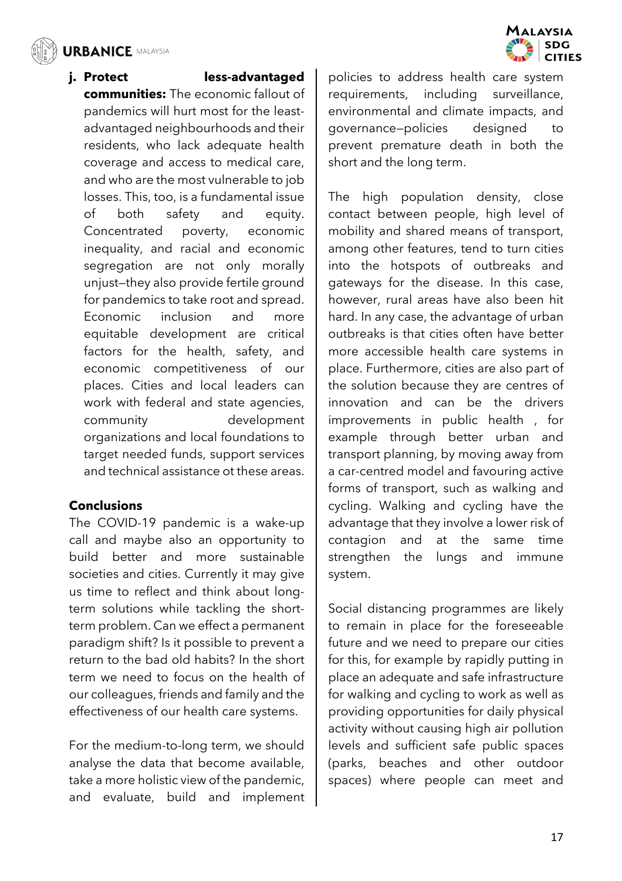

**j. Protect less-advantaged communities:** The economic fallout of pandemics will hurt most for the leastadvantaged neighbourhoods and their residents, who lack adequate health coverage and access to medical care, and who are the most vulnerable to job losses. This, too, is a fundamental issue of both safety and equity. Concentrated poverty, economic inequality, and racial and economic segregation are not only morally unjust—they also provide fertile ground for pandemics to take root and spread. Economic inclusion and more equitable development are critical factors for the health, safety, and economic competitiveness of our places. Cities and local leaders can work with federal and state agencies, community development organizations and local foundations to target needed funds, support services and technical assistance ot these areas.

## **Conclusions**

The COVID-19 pandemic is a wake-up call and maybe also an opportunity to build better and more sustainable societies and cities. Currently it may give us time to reflect and think about longterm solutions while tackling the shortterm problem. Can we effect a permanent paradigm shift? Is it possible to prevent a return to the bad old habits? In the short term we need to focus on the health of our colleagues, friends and family and the effectiveness of our health care systems.

For the medium-to-long term, we should analyse the data that become available, take a more holistic view of the pandemic, and evaluate, build and implement

policies to address health care system requirements, including surveillance, environmental and climate impacts, and governance—policies designed to prevent premature death in both the short and the long term.

The high population density, close contact between people, high level of mobility and shared means of transport, among other features, tend to turn cities into the hotspots of outbreaks and gateways for the disease. In this case, however, rural areas have also been hit hard. In any case, the advantage of urban outbreaks is that cities often have better more accessible health care systems in place. Furthermore, cities are also part of the solution because they are centres of innovation and can be the drivers improvements in public health , for example through better urban and transport planning, by moving away from a car-centred model and favouring active forms of transport, such as walking and cycling. Walking and cycling have the advantage that they involve a lower risk of contagion and at the same time strengthen the lungs and immune system.

Social distancing programmes are likely to remain in place for the foreseeable future and we need to prepare our cities for this, for example by rapidly putting in place an adequate and safe infrastructure for walking and cycling to work as well as providing opportunities for daily physical activity without causing high air pollution levels and sufficient safe public spaces (parks, beaches and other outdoor spaces) where people can meet and